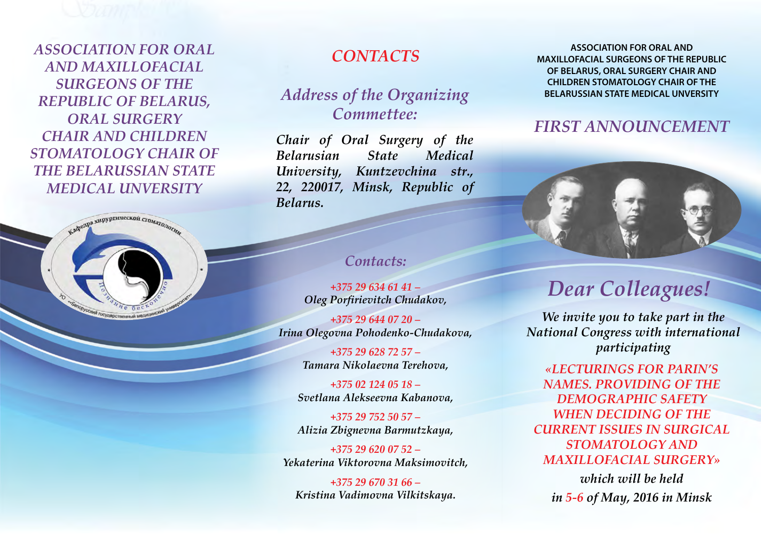*ASSOCIATION FOR ORAL AND MAXILLOFACIAL SURGEONS OF THE REPUBLIC OF BELARUS, ORAL SURGERY CHAIR AND CHILDREN STOMATOLOGY CHAIR OF THE BELARUSSIAN STATE MEDICAL UNVERSITY*



## *Contacts*

### *Address of the Organizing Commettee:*

*Chair of Oral Surgery of the Belarusian State Medical University, Kuntzevchina str., 22, 220017, Minsk, Republic of Belarus.*

#### *Contacts:*

*+375 29 634 61 41 – Oleg Porfirievitch Chudakov,*

*+375 29 644 07 20 – Irina Olegovna Pohodenko-Chudakova,* 

> *+375 29 628 72 57 – Tamara Nikolaevna Terehova,*

*+375 02 124 05 18 – Svetlana Alekseevna Kabanova,*

*+375 29 752 50 57 – Alizia Zbignevna Barmutzkaya,*

*+375 29 620 07 52 – Yekaterina Viktorovna Maksimovitch,*

*+375 29 670 31 66 – Kristina Vadimovna Vilkitskaya.*

**ASSOCIATION FOR ORAL AND MAXILLOFACIAL SURGEONS OF THE REPUBLIC OF BELARUS, ORAL SURGERY CHAIR AND CHILDREN STOMATOLOGY CHAIR OF THE BELARUSSIAN STATE MEDICAL UNVERSITY**

### *FIRST ANNOUNCEMENT*



# *Dear Colleagues!*

*We invite you to take part in the National Congress with international participating* 

*«Lecturings for PArin's names. Providing of the demographic safety when deciding of the current issues in surgical stomatology and maxillofacial surgery»*

*which will be held in 5-6 of May, 2016 in Minsk*